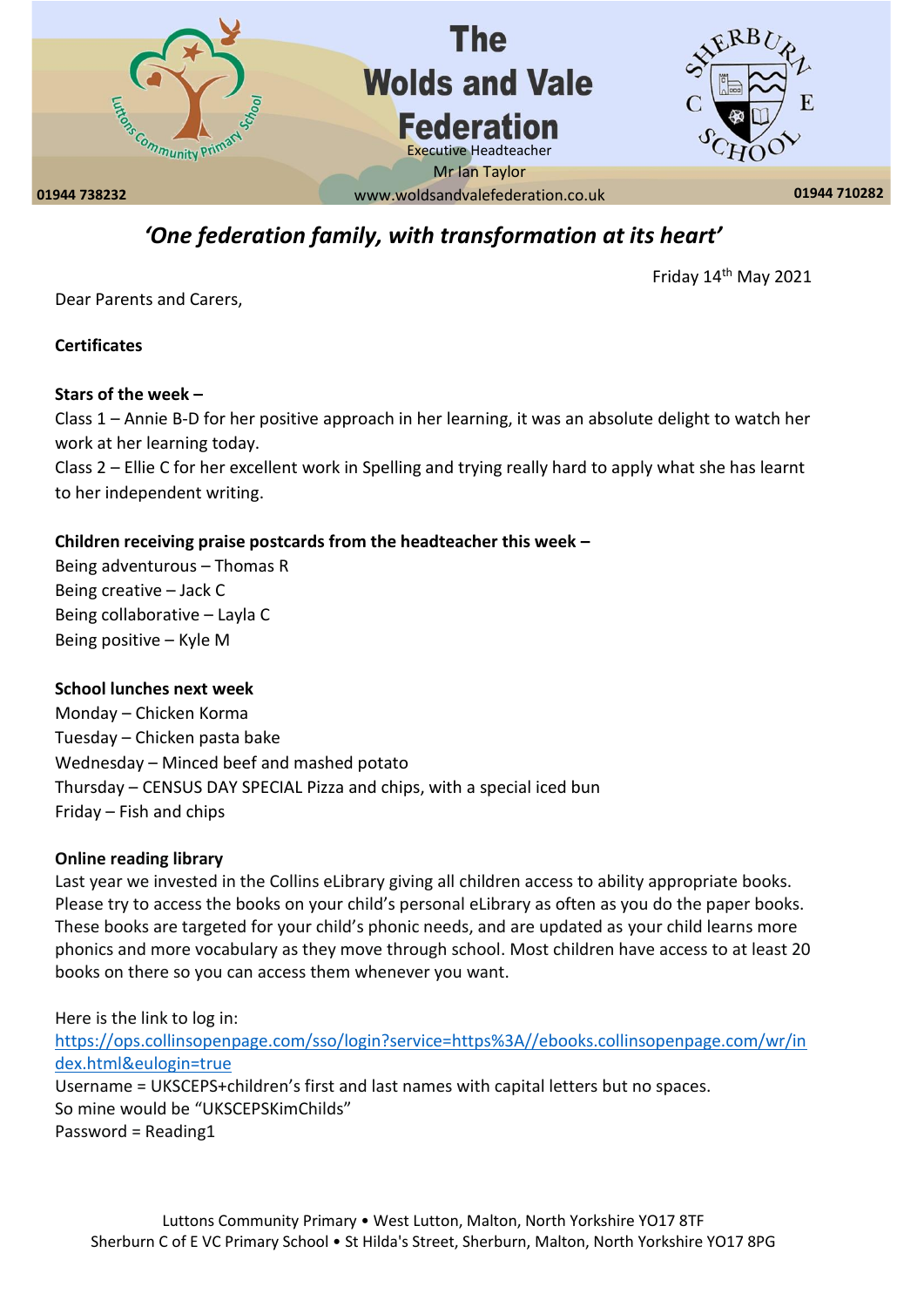

## *'One federation family, with transformation at its heart'*

Friday 14th May 2021

Dear Parents and Carers,

**Certificates** 

#### **Stars of the week –**

Class 1 – Annie B-D for her positive approach in her learning, it was an absolute delight to watch her work at her learning today.

Class 2 – Ellie C for her excellent work in Spelling and trying really hard to apply what she has learnt to her independent writing.

### **Children receiving praise postcards from the headteacher this week –**

Being adventurous – Thomas R Being creative – Jack C Being collaborative – Layla C Being positive – Kyle M

#### **School lunches next week**

Monday – Chicken Korma Tuesday – Chicken pasta bake Wednesday – Minced beef and mashed potato Thursday – CENSUS DAY SPECIAL Pizza and chips, with a special iced bun Friday – Fish and chips

#### **Online reading library**

Last year we invested in the Collins eLibrary giving all children access to ability appropriate books. Please try to access the books on your child's personal eLibrary as often as you do the paper books. These books are targeted for your child's phonic needs, and are updated as your child learns more phonics and more vocabulary as they move through school. Most children have access to at least 20 books on there so you can access them whenever you want.

Here is the link to log in: [https://ops.collinsopenpage.com/sso/login?service=https%3A//ebooks.collinsopenpage.com/wr/in](https://ops.collinsopenpage.com/sso/login?service=https%3A//ebooks.collinsopenpage.com/wr/index.html&eulogin=true) [dex.html&eulogin=true](https://ops.collinsopenpage.com/sso/login?service=https%3A//ebooks.collinsopenpage.com/wr/index.html&eulogin=true) Username = UKSCEPS+children's first and last names with capital letters but no spaces. So mine would be "UKSCEPSKimChilds" Password = Reading1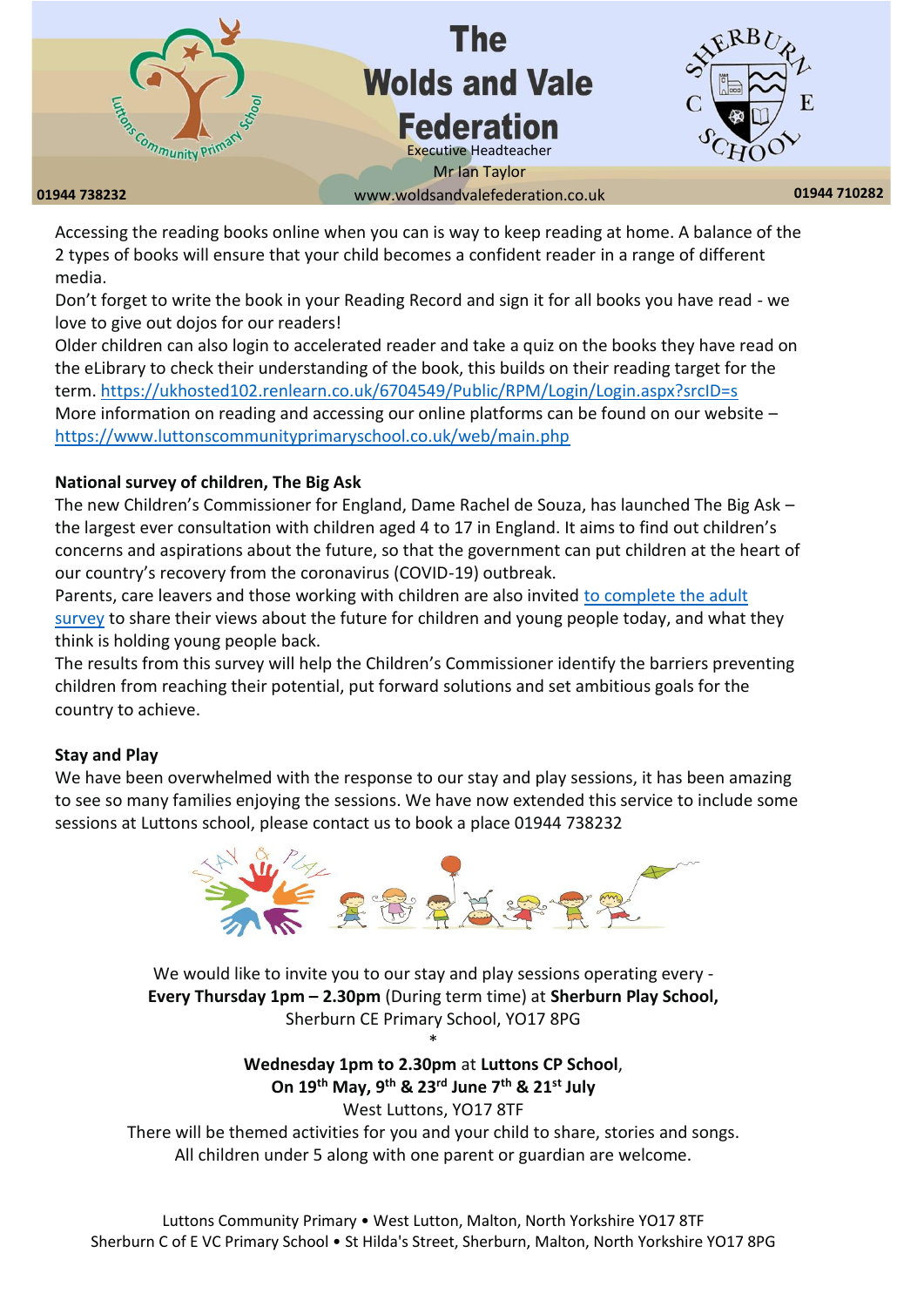

**01944 738232 01944 710282** www.woldsandvalefederation.co.uk

Accessing the reading books online when you can is way to keep reading at home. A balance of the 2 types of books will ensure that your child becomes a confident reader in a range of different media.

Don't forget to write the book in your Reading Record and sign it for all books you have read - we love to give out dojos for our readers!

Older children can also login to accelerated reader and take a quiz on the books they have read on the eLibrary to check their understanding of the book, this builds on their reading target for the term.<https://ukhosted102.renlearn.co.uk/6704549/Public/RPM/Login/Login.aspx?srcID=s> More information on reading and accessing our online platforms can be found on our website <https://www.luttonscommunityprimaryschool.co.uk/web/main.php>

#### **National survey of children, The Big Ask**

The new Children's Commissioner for England, Dame Rachel de Souza, has launched The Big Ask – the largest ever consultation with children aged 4 to 17 in England. It aims to find out children's concerns and aspirations about the future, so that the government can put children at the heart of our country's recovery from the coronavirus (COVID-19) outbreak.

Parents, care leavers and those working with children are also invited [to complete the adult](https://www.childrenscommissioner.gov.uk/thebigask/adults/)  [survey](https://www.childrenscommissioner.gov.uk/thebigask/adults/) to share their views about the future for children and young people today, and what they think is holding young people back.

The results from this survey will help the Children's Commissioner identify the barriers preventing children from reaching their potential, put forward solutions and set ambitious goals for the country to achieve.

#### **Stay and Play**

We have been overwhelmed with the response to our stay and play sessions, it has been amazing to see so many families enjoying the sessions. We have now extended this service to include some sessions at Luttons school, please contact us to book a place 01944 738232



We would like to invite you to our stay and play sessions operating every - **Every Thursday 1pm – 2.30pm** (During term time) at **Sherburn Play School,** Sherburn CE Primary School, YO17 8PG \*

> **Wednesday 1pm to 2.30pm** at **Luttons CP School**, **On 19th May, 9th & 23rd June 7th & 21st July**  West Luttons, YO17 8TF

There will be themed activities for you and your child to share, stories and songs. All children under 5 along with one parent or guardian are welcome.